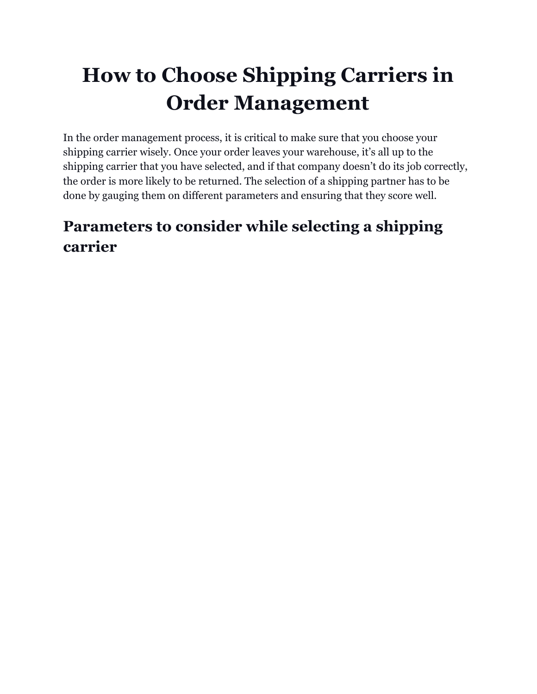# **How to Choose Shipping Carriers in Order Management**

In the order management process, it is critical to make sure that you choose your shipping carrier wisely. Once your order leaves your warehouse, it's all up to the shipping carrier that you have selected, and if that company doesn't do its job correctly, the order is more likely to be returned. The selection of a shipping partner has to be done by gauging them on different parameters and ensuring that they score well.

# **Parameters to consider while selecting a shipping carrier**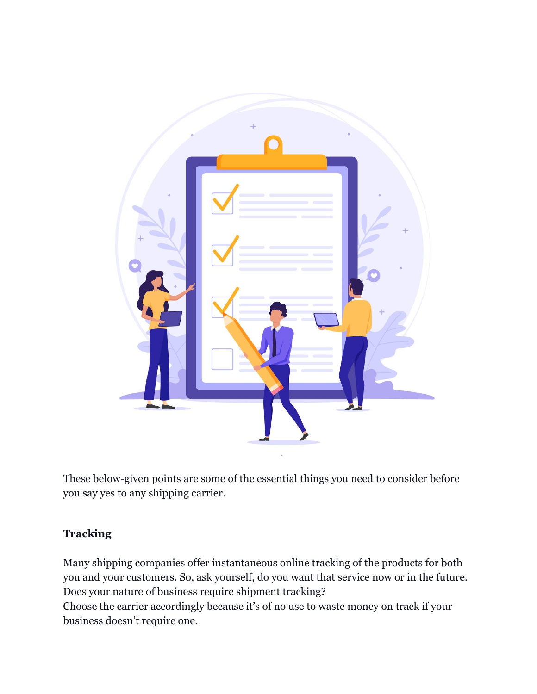

These below-given points are some of the essential things you need to consider before you say yes to any shipping carrier.

# **Tracking**

Many shipping companies offer instantaneous online tracking of the products for both you and your customers. So, ask yourself, do you want that service now or in the future. Does your nature of business require shipment tracking?

Choose the carrier accordingly because it's of no use to waste money on track if your business doesn't require one.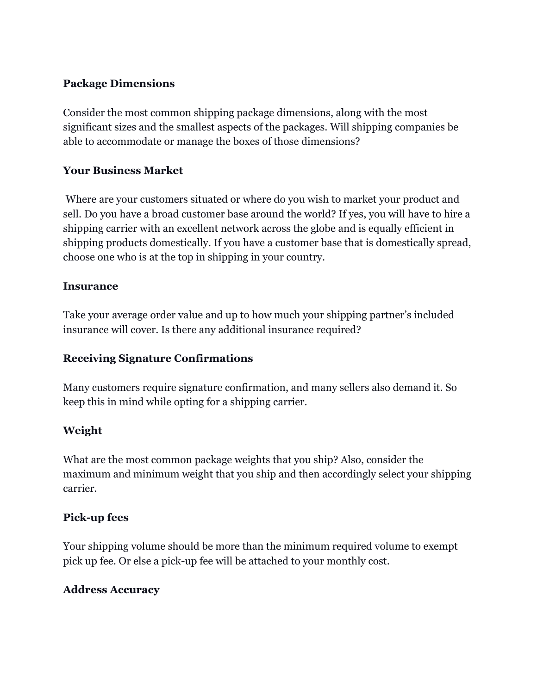#### **Package Dimensions**

Consider the most common shipping package dimensions, along with the most significant sizes and the smallest aspects of the packages. Will shipping companies be able to accommodate or manage the boxes of those dimensions?

# **Your Business Market**

 Where are your customers situated or where do you wish to market your product and sell. Do you have a broad customer base around the world? If yes, you will have to hire a shipping carrier with an excellent network across the globe and is equally efficient in shipping products domestically. If you have a customer base that is domestically spread, choose one who is at the top in shipping in your country.

#### **Insurance**

Take your average order value and up to how much your shipping partner's included insurance will cover. Is there any additional insurance required?

# **Receiving Signature Confirmations**

Many customers require signature confirmation, and many sellers also demand it. So keep this in mind while opting for a shipping carrier.

# **Weight**

What are the most common package weights that you ship? Also, consider the maximum and minimum weight that you ship and then accordingly select your shipping carrier.

#### **Pick-up fees**

Your shipping volume should be more than the minimum required volume to exempt pick up fee. Or else a pick-up fee will be attached to your monthly cost.

#### **Address Accuracy**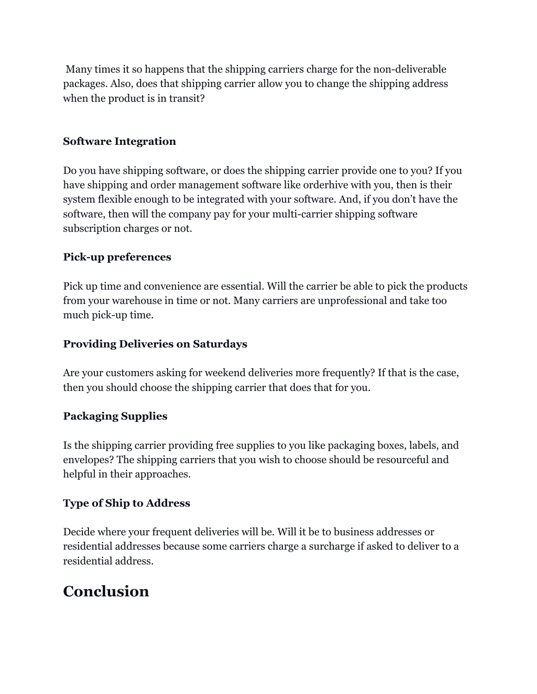Many times it so happens that the shipping carriers charge for the non-deliverable packages. Also, does that shipping carrier allow you to change the shipping address when the product is in transit?

## **Software Integration**

Do you have shipping software, or does the shipping carrier provide one to you? If you have shipping and order management software like orderhive with you, then is their system flexible enough to be integrated with your software. And, if you don't have the software, then will the company pay for your multi-carrier shipping software subscription charges or not.

#### **Pick-up preferences**

Pick up time and convenience are essential. Will the carrier be able to pick the products from your warehouse in time or not. Many carriers are unprofessional and take too much pick-up time.

#### **Providing Deliveries on Saturdays**

Are your customers asking for weekend deliveries more frequently? If that is the case, then you should choose the shipping carrier that does that for you.

#### **Packaging Supplies**

Is the shipping carrier providing free supplies to you like packaging boxes, labels, and envelopes? The shipping carriers that you wish to choose should be resourceful and helpful in their approaches.

#### **Type of Ship to Address**

Decide where your frequent deliveries will be. Will it be to business addresses or residential addresses because some carriers charge a surcharge if asked to deliver to a residential address.

# **Conclusion**